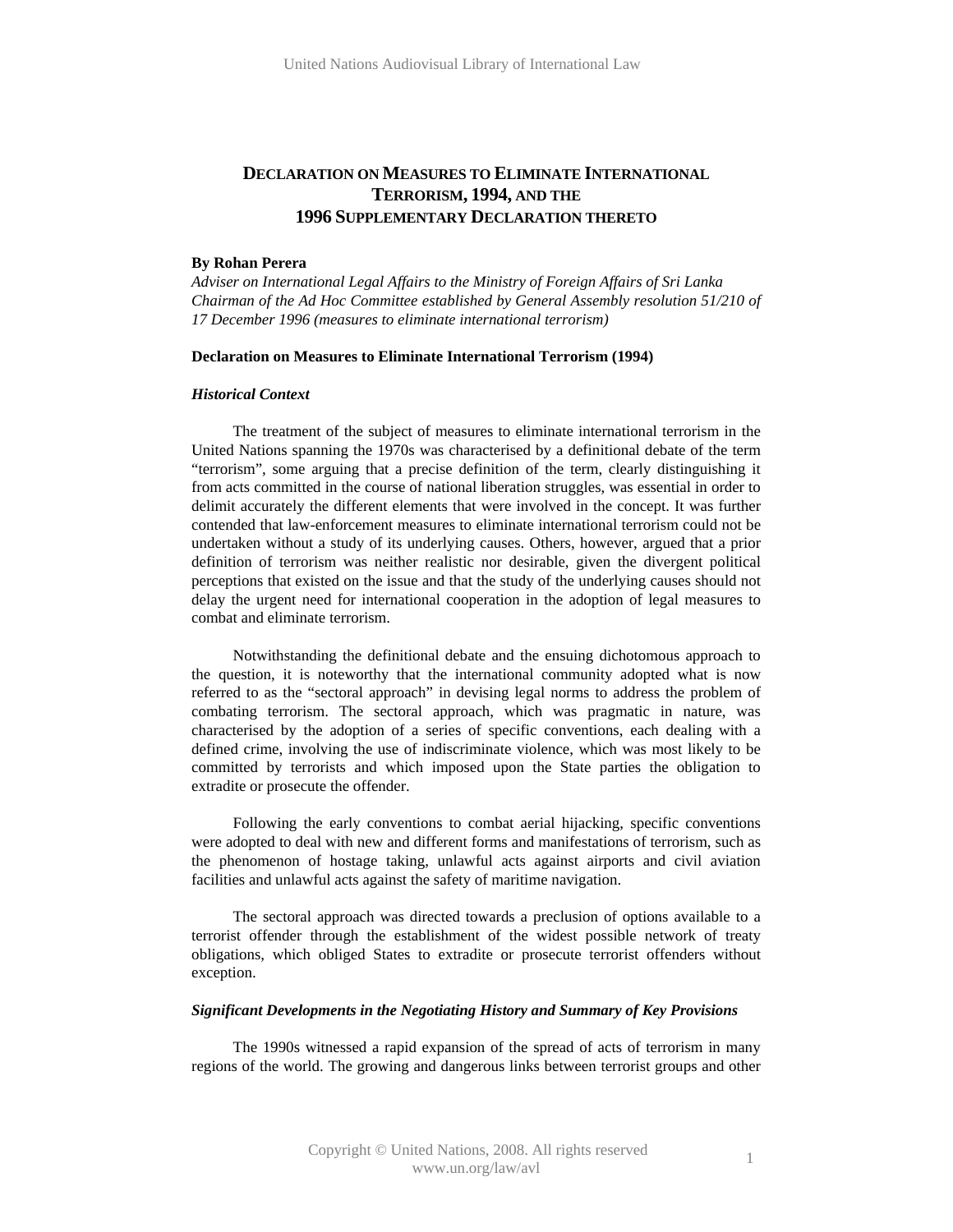# **DECLARATION ON MEASURES TO ELIMINATE INTERNATIONAL TERRORISM, 1994, AND THE 1996 SUPPLEMENTARY DECLARATION THERETO**

#### **By Rohan Perera**

*Adviser on International Legal Affairs to the Ministry of Foreign Affairs of Sri Lanka Chairman of the Ad Hoc Committee established by General Assembly resolution 51/210 of 17 December 1996 (measures to eliminate international terrorism)* 

#### **Declaration on Measures to Eliminate International Terrorism (1994)**

#### *Historical Context*

The treatment of the subject of measures to eliminate international terrorism in the United Nations spanning the 1970s was characterised by a definitional debate of the term "terrorism", some arguing that a precise definition of the term, clearly distinguishing it from acts committed in the course of national liberation struggles, was essential in order to delimit accurately the different elements that were involved in the concept. It was further contended that law-enforcement measures to eliminate international terrorism could not be undertaken without a study of its underlying causes. Others, however, argued that a prior definition of terrorism was neither realistic nor desirable, given the divergent political perceptions that existed on the issue and that the study of the underlying causes should not delay the urgent need for international cooperation in the adoption of legal measures to combat and eliminate terrorism.

Notwithstanding the definitional debate and the ensuing dichotomous approach to the question, it is noteworthy that the international community adopted what is now referred to as the "sectoral approach" in devising legal norms to address the problem of combating terrorism. The sectoral approach, which was pragmatic in nature, was characterised by the adoption of a series of specific conventions, each dealing with a defined crime, involving the use of indiscriminate violence, which was most likely to be committed by terrorists and which imposed upon the State parties the obligation to extradite or prosecute the offender.

Following the early conventions to combat aerial hijacking, specific conventions were adopted to deal with new and different forms and manifestations of terrorism, such as the phenomenon of hostage taking, unlawful acts against airports and civil aviation facilities and unlawful acts against the safety of maritime navigation.

The sectoral approach was directed towards a preclusion of options available to a terrorist offender through the establishment of the widest possible network of treaty obligations, which obliged States to extradite or prosecute terrorist offenders without exception.

### *Significant Developments in the Negotiating History and Summary of Key Provisions*

The 1990s witnessed a rapid expansion of the spread of acts of terrorism in many regions of the world. The growing and dangerous links between terrorist groups and other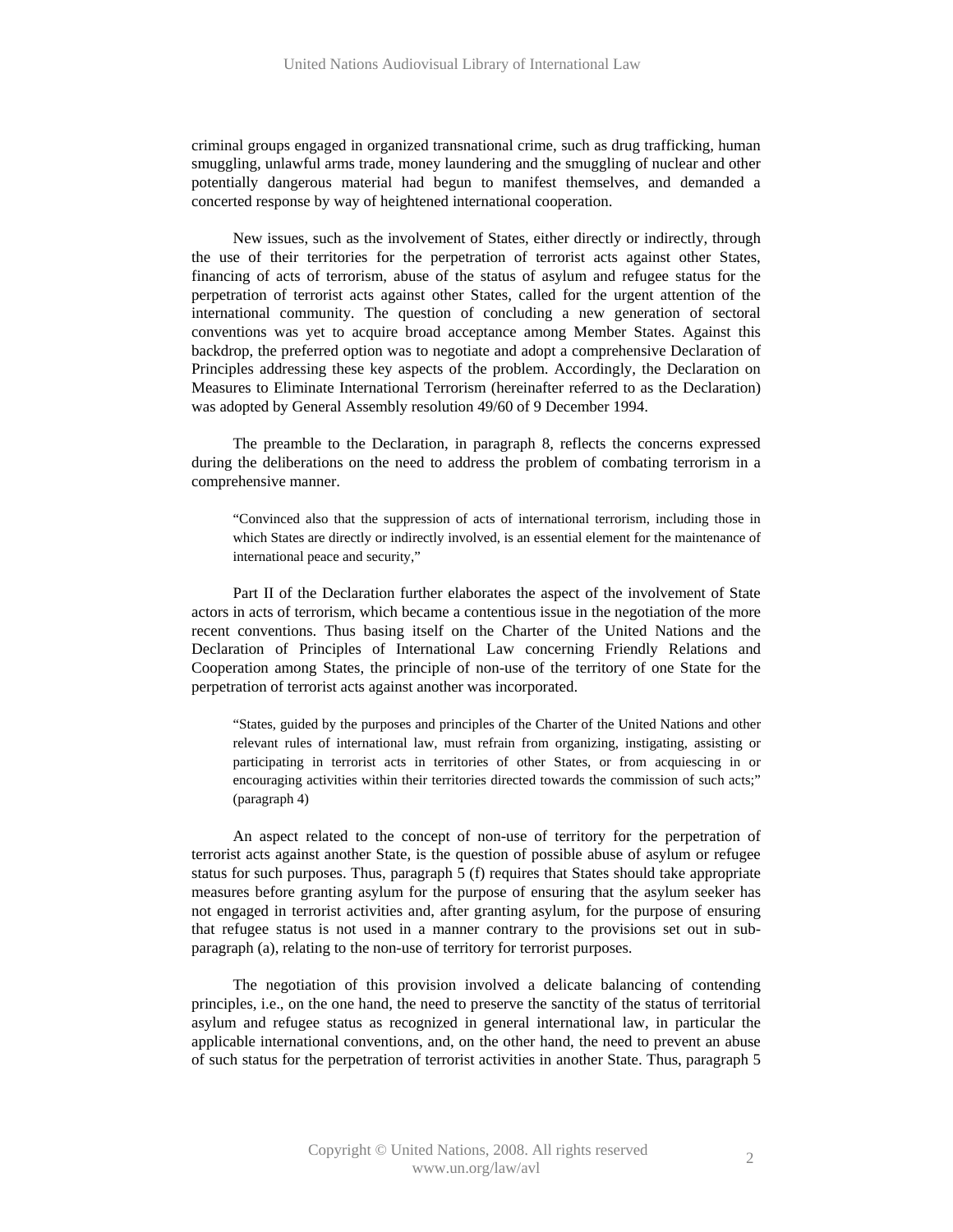criminal groups engaged in organized transnational crime, such as drug trafficking, human smuggling, unlawful arms trade, money laundering and the smuggling of nuclear and other potentially dangerous material had begun to manifest themselves, and demanded a concerted response by way of heightened international cooperation.

New issues, such as the involvement of States, either directly or indirectly, through the use of their territories for the perpetration of terrorist acts against other States, financing of acts of terrorism, abuse of the status of asylum and refugee status for the perpetration of terrorist acts against other States, called for the urgent attention of the international community. The question of concluding a new generation of sectoral conventions was yet to acquire broad acceptance among Member States. Against this backdrop, the preferred option was to negotiate and adopt a comprehensive Declaration of Principles addressing these key aspects of the problem. Accordingly, the Declaration on Measures to Eliminate International Terrorism (hereinafter referred to as the Declaration) was adopted by General Assembly resolution 49/60 of 9 December 1994.

The preamble to the Declaration, in paragraph 8, reflects the concerns expressed during the deliberations on the need to address the problem of combating terrorism in a comprehensive manner.

"Convinced also that the suppression of acts of international terrorism, including those in which States are directly or indirectly involved, is an essential element for the maintenance of international peace and security,"

Part II of the Declaration further elaborates the aspect of the involvement of State actors in acts of terrorism, which became a contentious issue in the negotiation of the more recent conventions. Thus basing itself on the Charter of the United Nations and the Declaration of Principles of International Law concerning Friendly Relations and Cooperation among States, the principle of non-use of the territory of one State for the perpetration of terrorist acts against another was incorporated.

"States, guided by the purposes and principles of the Charter of the United Nations and other relevant rules of international law, must refrain from organizing, instigating, assisting or participating in terrorist acts in territories of other States, or from acquiescing in or encouraging activities within their territories directed towards the commission of such acts;" (paragraph 4)

An aspect related to the concept of non-use of territory for the perpetration of terrorist acts against another State, is the question of possible abuse of asylum or refugee status for such purposes. Thus, paragraph 5 (f) requires that States should take appropriate measures before granting asylum for the purpose of ensuring that the asylum seeker has not engaged in terrorist activities and, after granting asylum, for the purpose of ensuring that refugee status is not used in a manner contrary to the provisions set out in subparagraph (a), relating to the non-use of territory for terrorist purposes.

The negotiation of this provision involved a delicate balancing of contending principles, i.e., on the one hand, the need to preserve the sanctity of the status of territorial asylum and refugee status as recognized in general international law, in particular the applicable international conventions, and, on the other hand, the need to prevent an abuse of such status for the perpetration of terrorist activities in another State. Thus, paragraph 5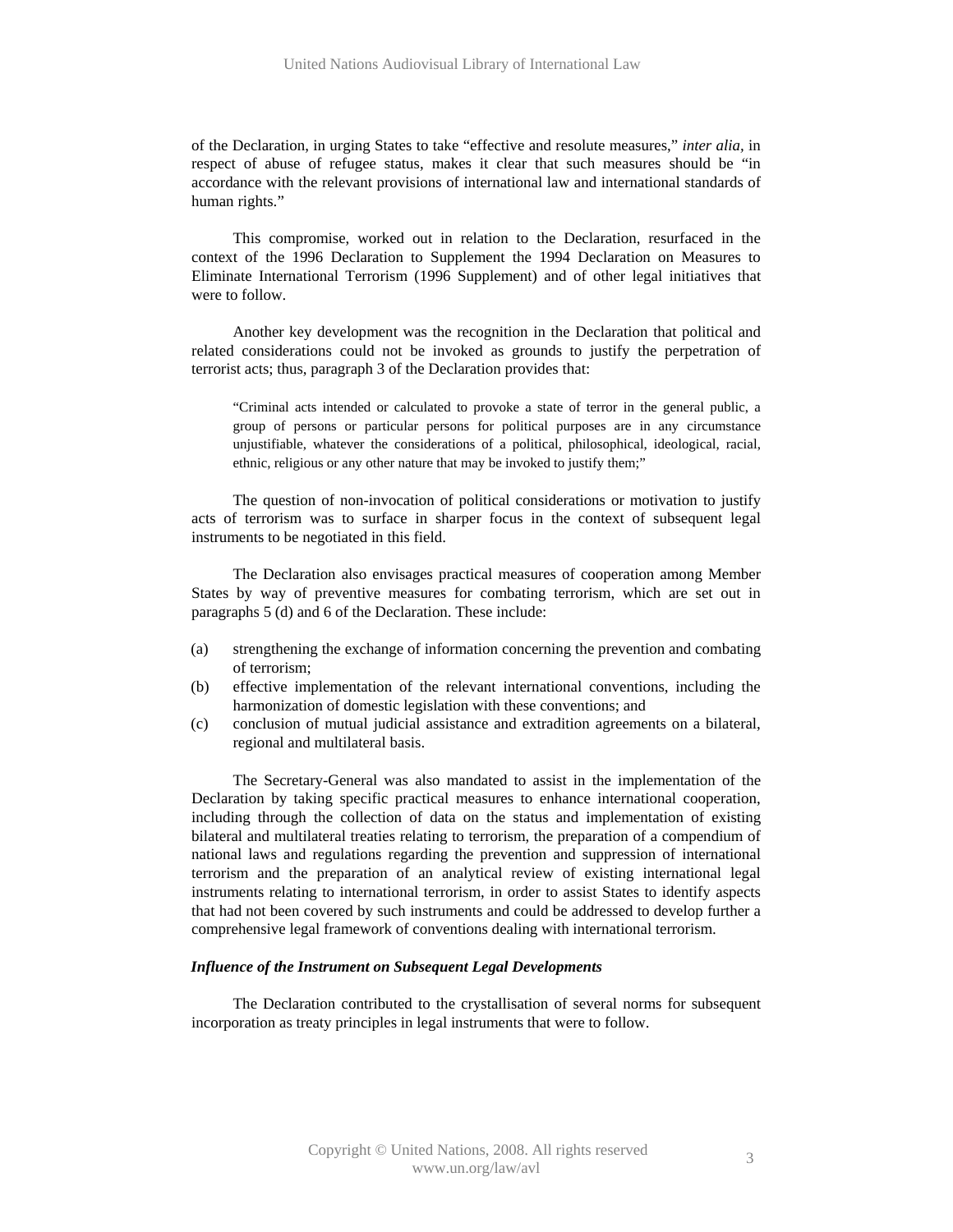of the Declaration, in urging States to take "effective and resolute measures," *inter alia,* in respect of abuse of refugee status, makes it clear that such measures should be "in accordance with the relevant provisions of international law and international standards of human rights."

This compromise, worked out in relation to the Declaration, resurfaced in the context of the 1996 Declaration to Supplement the 1994 Declaration on Measures to Eliminate International Terrorism (1996 Supplement) and of other legal initiatives that were to follow.

Another key development was the recognition in the Declaration that political and related considerations could not be invoked as grounds to justify the perpetration of terrorist acts; thus, paragraph 3 of the Declaration provides that:

"Criminal acts intended or calculated to provoke a state of terror in the general public, a group of persons or particular persons for political purposes are in any circumstance unjustifiable, whatever the considerations of a political, philosophical, ideological, racial, ethnic, religious or any other nature that may be invoked to justify them;"

The question of non-invocation of political considerations or motivation to justify acts of terrorism was to surface in sharper focus in the context of subsequent legal instruments to be negotiated in this field.

The Declaration also envisages practical measures of cooperation among Member States by way of preventive measures for combating terrorism, which are set out in paragraphs 5 (d) and 6 of the Declaration. These include:

- (a) strengthening the exchange of information concerning the prevention and combating of terrorism;
- (b) effective implementation of the relevant international conventions, including the harmonization of domestic legislation with these conventions; and
- (c) conclusion of mutual judicial assistance and extradition agreements on a bilateral, regional and multilateral basis.

The Secretary-General was also mandated to assist in the implementation of the Declaration by taking specific practical measures to enhance international cooperation, including through the collection of data on the status and implementation of existing bilateral and multilateral treaties relating to terrorism, the preparation of a compendium of national laws and regulations regarding the prevention and suppression of international terrorism and the preparation of an analytical review of existing international legal instruments relating to international terrorism, in order to assist States to identify aspects that had not been covered by such instruments and could be addressed to develop further a comprehensive legal framework of conventions dealing with international terrorism.

### *Influence of the Instrument on Subsequent Legal Developments*

The Declaration contributed to the crystallisation of several norms for subsequent incorporation as treaty principles in legal instruments that were to follow.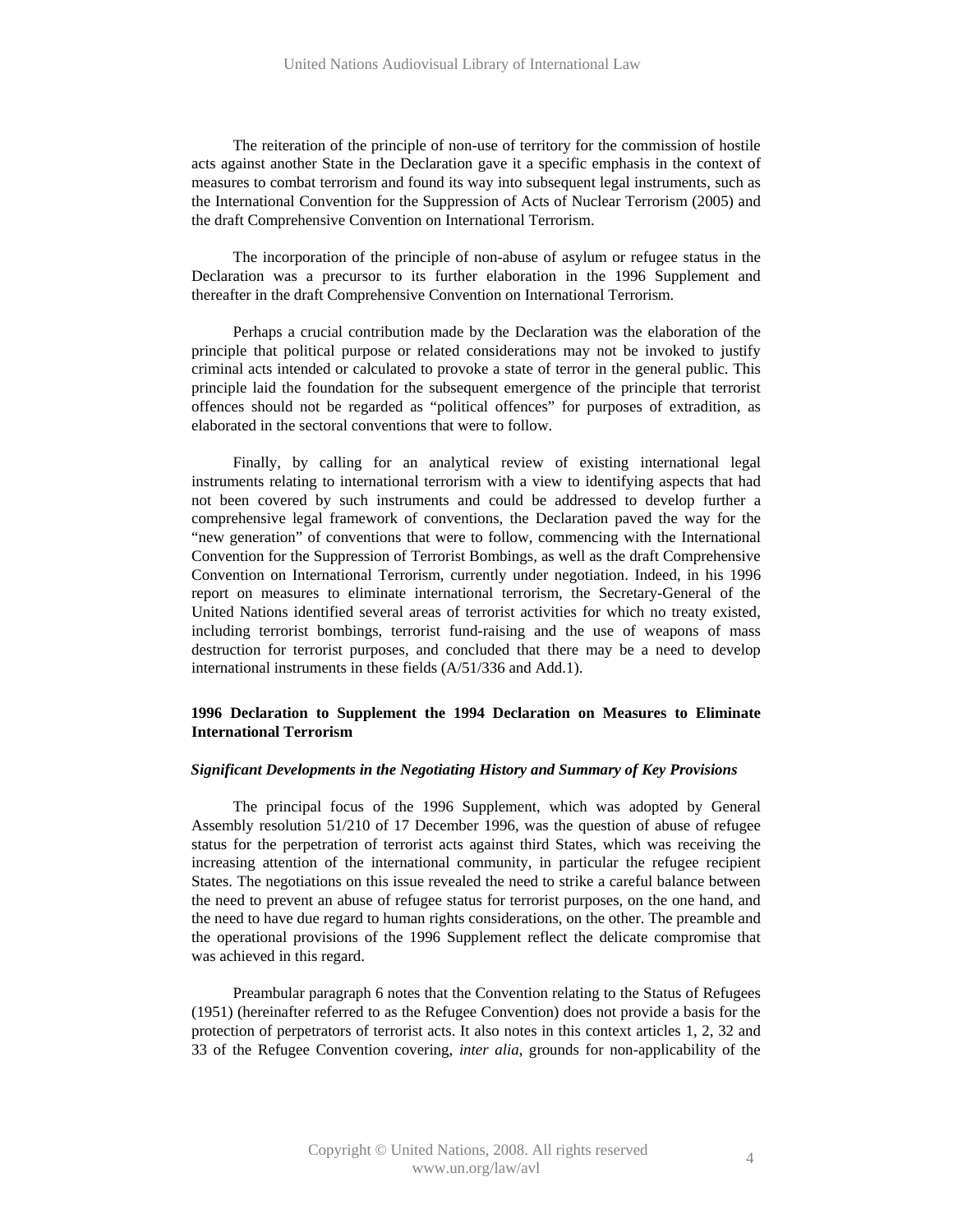The reiteration of the principle of non-use of territory for the commission of hostile acts against another State in the Declaration gave it a specific emphasis in the context of measures to combat terrorism and found its way into subsequent legal instruments, such as the International Convention for the Suppression of Acts of Nuclear Terrorism (2005) and the draft Comprehensive Convention on International Terrorism.

The incorporation of the principle of non-abuse of asylum or refugee status in the Declaration was a precursor to its further elaboration in the 1996 Supplement and thereafter in the draft Comprehensive Convention on International Terrorism.

Perhaps a crucial contribution made by the Declaration was the elaboration of the principle that political purpose or related considerations may not be invoked to justify criminal acts intended or calculated to provoke a state of terror in the general public. This principle laid the foundation for the subsequent emergence of the principle that terrorist offences should not be regarded as "political offences" for purposes of extradition, as elaborated in the sectoral conventions that were to follow.

Finally, by calling for an analytical review of existing international legal instruments relating to international terrorism with a view to identifying aspects that had not been covered by such instruments and could be addressed to develop further a comprehensive legal framework of conventions, the Declaration paved the way for the "new generation" of conventions that were to follow, commencing with the International Convention for the Suppression of Terrorist Bombings, as well as the draft Comprehensive Convention on International Terrorism, currently under negotiation. Indeed, in his 1996 report on measures to eliminate international terrorism, the Secretary-General of the United Nations identified several areas of terrorist activities for which no treaty existed, including terrorist bombings, terrorist fund-raising and the use of weapons of mass destruction for terrorist purposes, and concluded that there may be a need to develop international instruments in these fields (A/51/336 and Add.1).

# **1996 Declaration to Supplement the 1994 Declaration on Measures to Eliminate International Terrorism**

# *Significant Developments in the Negotiating History and Summary of Key Provisions*

The principal focus of the 1996 Supplement, which was adopted by General Assembly resolution 51/210 of 17 December 1996, was the question of abuse of refugee status for the perpetration of terrorist acts against third States, which was receiving the increasing attention of the international community, in particular the refugee recipient States. The negotiations on this issue revealed the need to strike a careful balance between the need to prevent an abuse of refugee status for terrorist purposes, on the one hand, and the need to have due regard to human rights considerations, on the other. The preamble and the operational provisions of the 1996 Supplement reflect the delicate compromise that was achieved in this regard.

Preambular paragraph 6 notes that the Convention relating to the Status of Refugees (1951) (hereinafter referred to as the Refugee Convention) does not provide a basis for the protection of perpetrators of terrorist acts. It also notes in this context articles 1, 2, 32 and 33 of the Refugee Convention covering, *inter alia*, grounds for non-applicability of the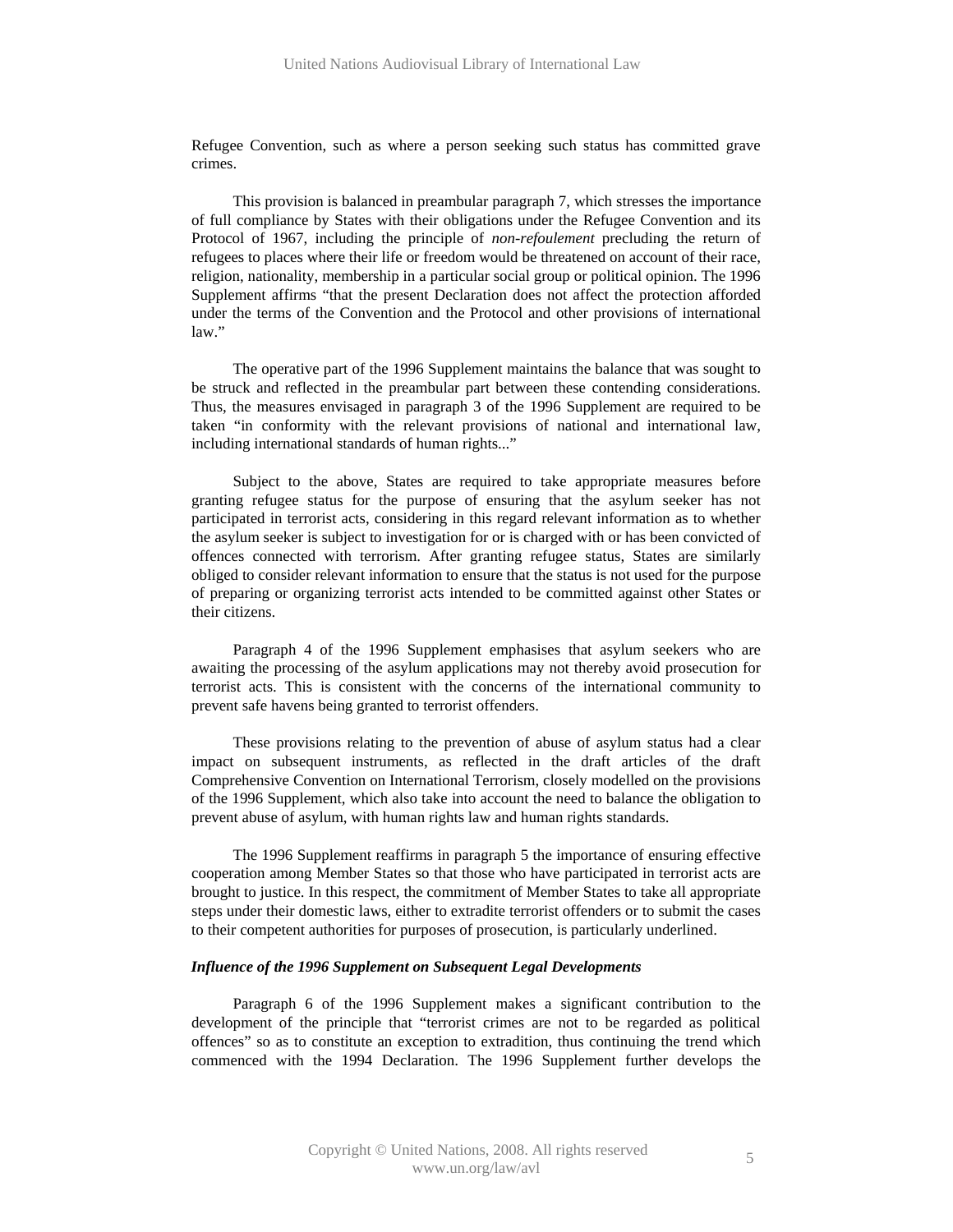Refugee Convention, such as where a person seeking such status has committed grave crimes.

This provision is balanced in preambular paragraph 7, which stresses the importance of full compliance by States with their obligations under the Refugee Convention and its Protocol of 1967, including the principle of *non-refoulement* precluding the return of refugees to places where their life or freedom would be threatened on account of their race, religion, nationality, membership in a particular social group or political opinion. The 1996 Supplement affirms "that the present Declaration does not affect the protection afforded under the terms of the Convention and the Protocol and other provisions of international law."

The operative part of the 1996 Supplement maintains the balance that was sought to be struck and reflected in the preambular part between these contending considerations. Thus, the measures envisaged in paragraph 3 of the 1996 Supplement are required to be taken "in conformity with the relevant provisions of national and international law, including international standards of human rights..."

Subject to the above, States are required to take appropriate measures before granting refugee status for the purpose of ensuring that the asylum seeker has not participated in terrorist acts, considering in this regard relevant information as to whether the asylum seeker is subject to investigation for or is charged with or has been convicted of offences connected with terrorism. After granting refugee status, States are similarly obliged to consider relevant information to ensure that the status is not used for the purpose of preparing or organizing terrorist acts intended to be committed against other States or their citizens.

Paragraph 4 of the 1996 Supplement emphasises that asylum seekers who are awaiting the processing of the asylum applications may not thereby avoid prosecution for terrorist acts. This is consistent with the concerns of the international community to prevent safe havens being granted to terrorist offenders.

These provisions relating to the prevention of abuse of asylum status had a clear impact on subsequent instruments, as reflected in the draft articles of the draft Comprehensive Convention on International Terrorism, closely modelled on the provisions of the 1996 Supplement, which also take into account the need to balance the obligation to prevent abuse of asylum, with human rights law and human rights standards.

The 1996 Supplement reaffirms in paragraph 5 the importance of ensuring effective cooperation among Member States so that those who have participated in terrorist acts are brought to justice. In this respect, the commitment of Member States to take all appropriate steps under their domestic laws, either to extradite terrorist offenders or to submit the cases to their competent authorities for purposes of prosecution, is particularly underlined.

### *Influence of the 1996 Supplement on Subsequent Legal Developments*

Paragraph 6 of the 1996 Supplement makes a significant contribution to the development of the principle that "terrorist crimes are not to be regarded as political offences" so as to constitute an exception to extradition, thus continuing the trend which commenced with the 1994 Declaration. The 1996 Supplement further develops the